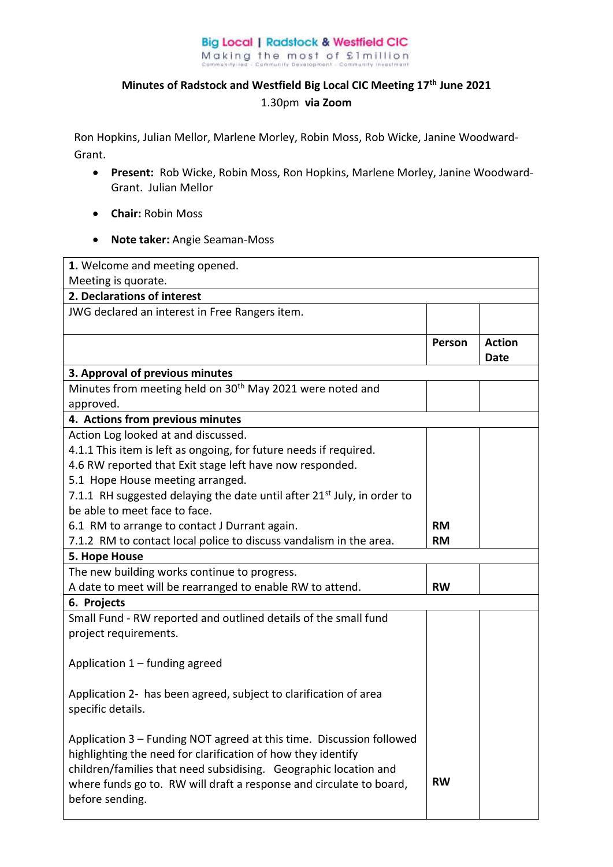## **Big Local | Radstock & Westfield CIC** Making the most of £1million

## **Minutes of Radstock and Westfield Big Local CIC Meeting 17th June 2021**  1.30pm **via Zoom**

Ron Hopkins, Julian Mellor, Marlene Morley, Robin Moss, Rob Wicke, Janine Woodward-Grant.

- **Present:** Rob Wicke, Robin Moss, Ron Hopkins, Marlene Morley, Janine Woodward-Grant. Julian Mellor
- **Chair:** Robin Moss
- **Note taker:** Angie Seaman-Moss

| 1. Welcome and meeting opened.                                                      |           |               |  |  |
|-------------------------------------------------------------------------------------|-----------|---------------|--|--|
| Meeting is quorate.                                                                 |           |               |  |  |
| 2. Declarations of interest                                                         |           |               |  |  |
| JWG declared an interest in Free Rangers item.                                      |           |               |  |  |
|                                                                                     |           |               |  |  |
|                                                                                     | Person    | <b>Action</b> |  |  |
|                                                                                     |           | <b>Date</b>   |  |  |
| 3. Approval of previous minutes                                                     |           |               |  |  |
| Minutes from meeting held on 30 <sup>th</sup> May 2021 were noted and               |           |               |  |  |
| approved.                                                                           |           |               |  |  |
| 4. Actions from previous minutes                                                    |           |               |  |  |
| Action Log looked at and discussed.                                                 |           |               |  |  |
| 4.1.1 This item is left as ongoing, for future needs if required.                   |           |               |  |  |
| 4.6 RW reported that Exit stage left have now responded.                            |           |               |  |  |
| 5.1 Hope House meeting arranged.                                                    |           |               |  |  |
| 7.1.1 RH suggested delaying the date until after 21 <sup>st</sup> July, in order to |           |               |  |  |
| be able to meet face to face.                                                       |           |               |  |  |
| 6.1 RM to arrange to contact J Durrant again.                                       | <b>RM</b> |               |  |  |
| 7.1.2 RM to contact local police to discuss vandalism in the area.                  | <b>RM</b> |               |  |  |
| 5. Hope House                                                                       |           |               |  |  |
| The new building works continue to progress.                                        |           |               |  |  |
| A date to meet will be rearranged to enable RW to attend.                           | <b>RW</b> |               |  |  |
| 6. Projects                                                                         |           |               |  |  |
| Small Fund - RW reported and outlined details of the small fund                     |           |               |  |  |
| project requirements.                                                               |           |               |  |  |
|                                                                                     |           |               |  |  |
| Application 1 - funding agreed                                                      |           |               |  |  |
|                                                                                     |           |               |  |  |
| Application 2- has been agreed, subject to clarification of area                    |           |               |  |  |
| specific details.                                                                   |           |               |  |  |
|                                                                                     |           |               |  |  |
| Application 3 - Funding NOT agreed at this time. Discussion followed                |           |               |  |  |
| highlighting the need for clarification of how they identify                        |           |               |  |  |
| children/families that need subsidising. Geographic location and                    |           |               |  |  |
| where funds go to. RW will draft a response and circulate to board,                 | <b>RW</b> |               |  |  |
| before sending.                                                                     |           |               |  |  |
|                                                                                     |           |               |  |  |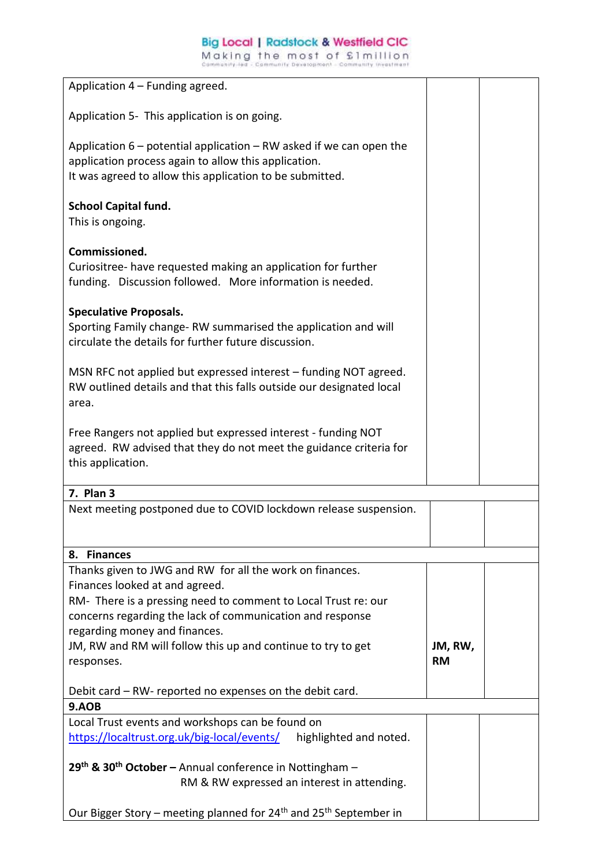Making the most of £1million

| Application 4 – Funding agreed.                                                                                                          |           |  |
|------------------------------------------------------------------------------------------------------------------------------------------|-----------|--|
|                                                                                                                                          |           |  |
| Application 5- This application is on going.                                                                                             |           |  |
| Application $6$ – potential application – RW asked if we can open the                                                                    |           |  |
| application process again to allow this application.                                                                                     |           |  |
| It was agreed to allow this application to be submitted.                                                                                 |           |  |
|                                                                                                                                          |           |  |
| <b>School Capital fund.</b>                                                                                                              |           |  |
| This is ongoing.                                                                                                                         |           |  |
| Commissioned.                                                                                                                            |           |  |
| Curiositree- have requested making an application for further                                                                            |           |  |
| funding. Discussion followed. More information is needed.                                                                                |           |  |
|                                                                                                                                          |           |  |
| <b>Speculative Proposals.</b>                                                                                                            |           |  |
| Sporting Family change-RW summarised the application and will                                                                            |           |  |
| circulate the details for further future discussion.                                                                                     |           |  |
|                                                                                                                                          |           |  |
| MSN RFC not applied but expressed interest – funding NOT agreed.<br>RW outlined details and that this falls outside our designated local |           |  |
| area.                                                                                                                                    |           |  |
|                                                                                                                                          |           |  |
| Free Rangers not applied but expressed interest - funding NOT                                                                            |           |  |
| agreed. RW advised that they do not meet the guidance criteria for                                                                       |           |  |
| this application.                                                                                                                        |           |  |
| 7. Plan 3                                                                                                                                |           |  |
| Next meeting postponed due to COVID lockdown release suspension.                                                                         |           |  |
|                                                                                                                                          |           |  |
|                                                                                                                                          |           |  |
| 8. Finances                                                                                                                              |           |  |
| Thanks given to JWG and RW for all the work on finances.                                                                                 |           |  |
| Finances looked at and agreed.<br>RM- There is a pressing need to comment to Local Trust re: our                                         |           |  |
| concerns regarding the lack of communication and response                                                                                |           |  |
| regarding money and finances.                                                                                                            |           |  |
| JM, RW and RM will follow this up and continue to try to get                                                                             | JM, RW,   |  |
| responses.                                                                                                                               | <b>RM</b> |  |
|                                                                                                                                          |           |  |
| Debit card - RW- reported no expenses on the debit card.                                                                                 |           |  |
| 9.AOB                                                                                                                                    |           |  |
| Local Trust events and workshops can be found on<br>https://localtrust.org.uk/big-local/events/<br>highlighted and noted.                |           |  |
|                                                                                                                                          |           |  |
| 29 <sup>th</sup> & 30 <sup>th</sup> October – Annual conference in Nottingham –                                                          |           |  |
| RM & RW expressed an interest in attending.                                                                                              |           |  |
|                                                                                                                                          |           |  |
| Our Bigger Story – meeting planned for 24 <sup>th</sup> and 25 <sup>th</sup> September in                                                |           |  |